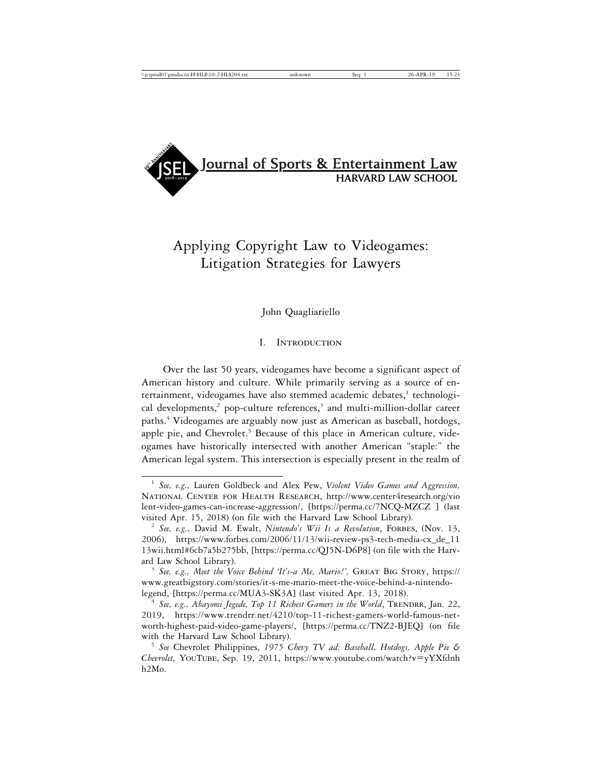

# Applying Copyright Law to Videogames: Litigation Strategies for Lawyers

John Quagliariello

## I. Introduction

Over the last 50 years, videogames have become a significant aspect of American history and culture. While primarily serving as a source of entertainment, videogames have also stemmed academic debates,<sup>1</sup> technological developments,<sup>2</sup> pop-culture references,<sup>3</sup> and multi-million-dollar career paths.4 Videogames are arguably now just as American as baseball, hotdogs, apple pie, and Chevrolet.<sup>5</sup> Because of this place in American culture, videogames have historically intersected with another American "staple:" the American legal system. This intersection is especially present in the realm of

<sup>1</sup> *See, e.g.,* Lauren Goldbeck and Alex Pew, *Violent Video Games and Aggression,* National Center for Health Research, http://www.center4research.org/vio lent-video-games-can-increase-aggression/, [https://perma.cc/7NCQ-MZCZ ] (last visited Apr. 15, 2018) (on file with the Harvard Law School Library). <sup>2</sup> *See, e.g.,* David M. Ewalt, *Nintendo's Wii Is a Revolution*, Forbes, (Nov. 13,

<sup>2006),</sup> https://www.forbes.com/2006/11/13/wii-review-ps3-tech-media-cx\_de\_11 13wii.html#6cb7a5b275bb, [https://perma.cc/QJ5N-D6P8] (on file with the Harv-

<sup>&</sup>lt;sup>3</sup> See, e.g., Meet the Voice Behind 'It's-a Me, Mario!', GREAT BIG STORY, https:// www.greatbigstory.com/stories/it-s-me-mario-meet-the-voice-behind-a-nintendolegend, [https://perma.cc/MUA3-SK3A] (last visited Apr. 13, 2018). <sup>4</sup> *See, e.g., Abayomi Jegede, Top 11 Richest Gamers in the World*, Trendrr, Jan. 22,

<sup>2019,</sup> https://www.trendrr.net/4210/top-11-richest-gamers-world-famous-networth-highest-paid-video-game-players/, [https://perma.cc/TNZ2-BJEQ] (on file with the Harvard Law School Library).<br><sup>5</sup> *See* Chevrolet Philippines, *1975 Chevy TV ad: Baseball, Hotdogs, Apple Pie &* 

*Chevrolet,* YouTube, Sep. 19, 2011, https://www.youtube.com/watch?v=yYXfdnh h2Mo.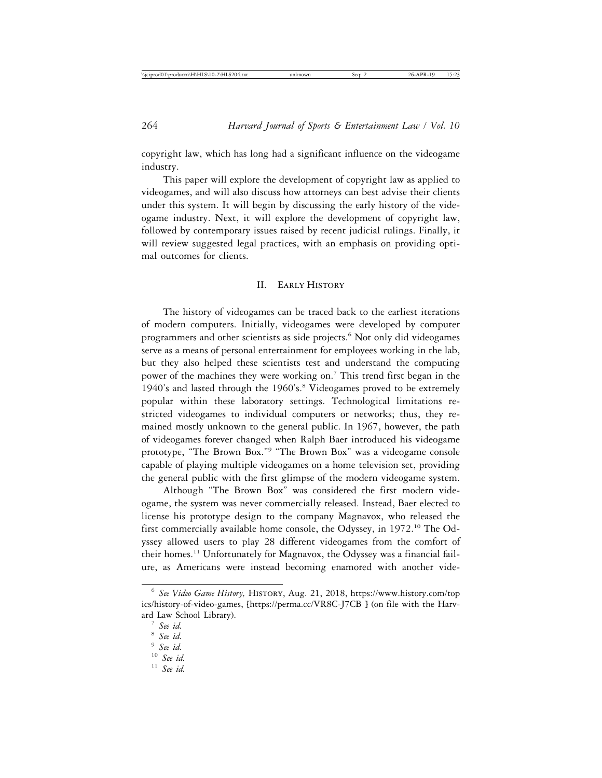copyright law, which has long had a significant influence on the videogame industry.

This paper will explore the development of copyright law as applied to videogames, and will also discuss how attorneys can best advise their clients under this system. It will begin by discussing the early history of the videogame industry. Next, it will explore the development of copyright law, followed by contemporary issues raised by recent judicial rulings. Finally, it will review suggested legal practices, with an emphasis on providing optimal outcomes for clients.

#### II. Early History

The history of videogames can be traced back to the earliest iterations of modern computers. Initially, videogames were developed by computer programmers and other scientists as side projects.<sup>6</sup> Not only did videogames serve as a means of personal entertainment for employees working in the lab, but they also helped these scientists test and understand the computing power of the machines they were working on.<sup>7</sup> This trend first began in the 1940's and lasted through the 1960's.<sup>8</sup> Videogames proved to be extremely popular within these laboratory settings. Technological limitations restricted videogames to individual computers or networks; thus, they remained mostly unknown to the general public. In 1967, however, the path of videogames forever changed when Ralph Baer introduced his videogame prototype, "The Brown Box."<sup>9</sup> "The Brown Box" was a videogame console capable of playing multiple videogames on a home television set, providing the general public with the first glimpse of the modern videogame system.

Although "The Brown Box" was considered the first modern videogame, the system was never commercially released. Instead, Baer elected to license his prototype design to the company Magnavox, who released the first commercially available home console, the Odyssey, in 1972.10 The Odyssey allowed users to play 28 different videogames from the comfort of their homes.<sup>11</sup> Unfortunately for Magnavox, the Odyssey was a financial failure, as Americans were instead becoming enamored with another vide-

<sup>6</sup> *See Video Game History,* History, Aug. 21, 2018, https://www.history.com/top ics/history-of-video-games, [https://perma.cc/VR8C-J7CB ] (on file with the Harvard Law School Library). <sup>7</sup> *See id.* <sup>8</sup> *See id.* <sup>9</sup> *See id.* <sup>10</sup> *See id.* <sup>11</sup> *See id.*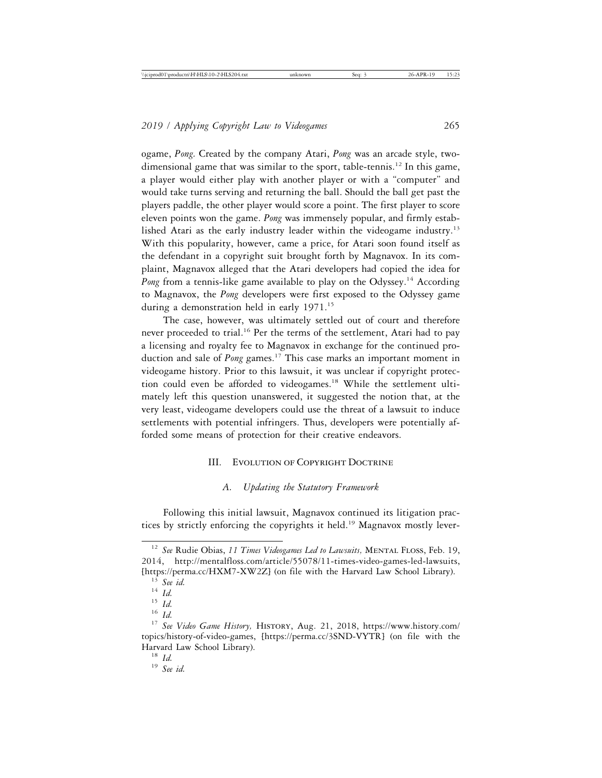ogame, *Pong.* Created by the company Atari, *Pong* was an arcade style, twodimensional game that was similar to the sport, table-tennis.<sup>12</sup> In this game, a player would either play with another player or with a "computer" and would take turns serving and returning the ball. Should the ball get past the players paddle, the other player would score a point. The first player to score eleven points won the game. *Pong* was immensely popular, and firmly established Atari as the early industry leader within the videogame industry.<sup>13</sup> With this popularity, however, came a price, for Atari soon found itself as the defendant in a copyright suit brought forth by Magnavox. In its complaint, Magnavox alleged that the Atari developers had copied the idea for *Pong* from a tennis-like game available to play on the Odyssey.<sup>14</sup> According to Magnavox, the *Pong* developers were first exposed to the Odyssey game during a demonstration held in early 1971.<sup>15</sup>

The case, however, was ultimately settled out of court and therefore never proceeded to trial.<sup>16</sup> Per the terms of the settlement, Atari had to pay a licensing and royalty fee to Magnavox in exchange for the continued production and sale of *Pong* games.<sup>17</sup> This case marks an important moment in videogame history. Prior to this lawsuit, it was unclear if copyright protection could even be afforded to videogames.<sup>18</sup> While the settlement ultimately left this question unanswered, it suggested the notion that, at the very least, videogame developers could use the threat of a lawsuit to induce settlements with potential infringers. Thus, developers were potentially afforded some means of protection for their creative endeavors.

## III. EVOLUTION OF COPYRIGHT DOCTRINE

## *A. Updating the Statutory Framework*

Following this initial lawsuit, Magnavox continued its litigation practices by strictly enforcing the copyrights it held.<sup>19</sup> Magnavox mostly lever-

<sup>&</sup>lt;sup>12</sup> See Rudie Obias, 11 Times Videogames Led to Lawsuits, MENTAL FLOSS, Feb. 19, 2014, http://mentalfloss.com/article/55078/11-times-video-games-led-lawsuits, [https://perma.cc/HXM7-XW2Z] (on file with the Harvard Law School Library). <sup>13</sup> *See id.* <sup>14</sup> *Id.* <sup>15</sup> *Id.* <sup>16</sup> *Id.* <sup>17</sup> *See Video Game History,* History, Aug. 21, 2018, https://www.history.com/

topics/history-of-video-games, [https://perma.cc/3SND-VYTR] (on file with the Harvard Law School Library). <sup>18</sup> *Id.* <sup>19</sup> *See id.*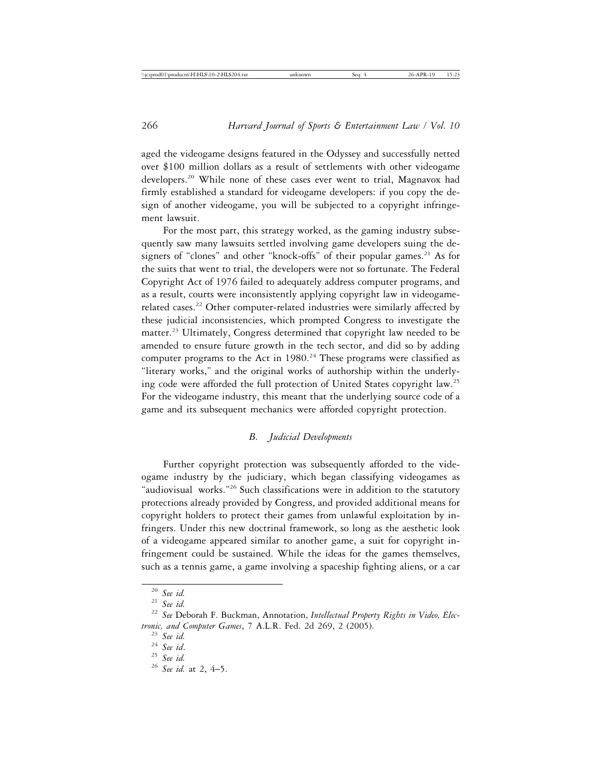aged the videogame designs featured in the Odyssey and successfully netted over \$100 million dollars as a result of settlements with other videogame developers.20 While none of these cases ever went to trial, Magnavox had firmly established a standard for videogame developers: if you copy the design of another videogame, you will be subjected to a copyright infringement lawsuit.

For the most part, this strategy worked, as the gaming industry subsequently saw many lawsuits settled involving game developers suing the designers of "clones" and other "knock-offs" of their popular games. $21$  As for the suits that went to trial, the developers were not so fortunate. The Federal Copyright Act of 1976 failed to adequately address computer programs, and as a result, courts were inconsistently applying copyright law in videogamerelated cases.<sup>22</sup> Other computer-related industries were similarly affected by these judicial inconsistencies, which prompted Congress to investigate the matter.<sup>23</sup> Ultimately, Congress determined that copyright law needed to be amended to ensure future growth in the tech sector, and did so by adding computer programs to the Act in  $1980.<sup>24</sup>$  These programs were classified as "literary works," and the original works of authorship within the underlying code were afforded the full protection of United States copyright law.25 For the videogame industry, this meant that the underlying source code of a game and its subsequent mechanics were afforded copyright protection.

## *B. Judicial Developments*

Further copyright protection was subsequently afforded to the videogame industry by the judiciary, which began classifying videogames as "audiovisual works."26 Such classifications were in addition to the statutory protections already provided by Congress, and provided additional means for copyright holders to protect their games from unlawful exploitation by infringers. Under this new doctrinal framework, so long as the aesthetic look of a videogame appeared similar to another game, a suit for copyright infringement could be sustained. While the ideas for the games themselves, such as a tennis game, a game involving a spaceship fighting aliens, or a car

<sup>20</sup> *See id.* <sup>21</sup> *See id.* <sup>22</sup> *See* Deborah F. Buckman, Annotation, *Intellectual Property Rights in Video, Electronic, and Computer Games,* 7 A.L.R. Fed. 2d 269, 2 (2005).<br><sup>23</sup> *See id.* <sup>24</sup> *See id.* <sup>25</sup> *See id.* at 2, 4–5.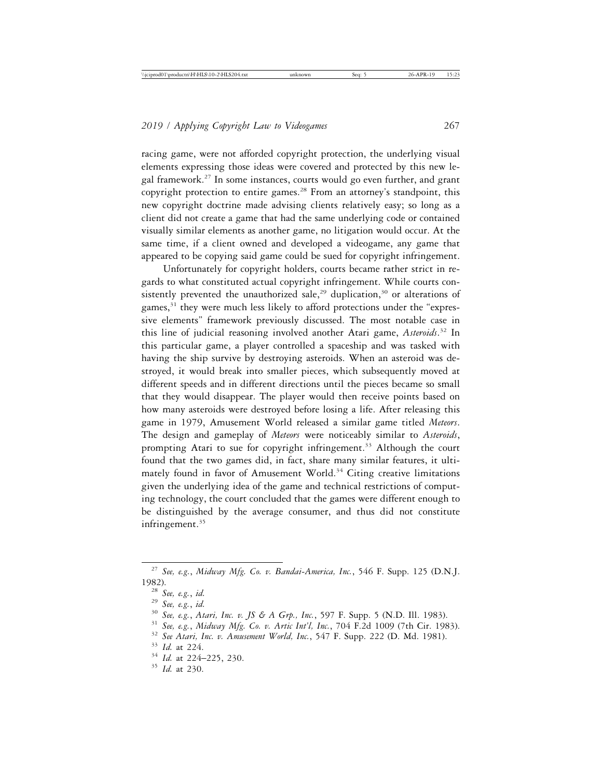racing game, were not afforded copyright protection, the underlying visual elements expressing those ideas were covered and protected by this new legal framework.27 In some instances, courts would go even further, and grant copyright protection to entire games.<sup>28</sup> From an attorney's standpoint, this new copyright doctrine made advising clients relatively easy; so long as a client did not create a game that had the same underlying code or contained visually similar elements as another game, no litigation would occur. At the same time, if a client owned and developed a videogame, any game that appeared to be copying said game could be sued for copyright infringement.

Unfortunately for copyright holders, courts became rather strict in regards to what constituted actual copyright infringement. While courts consistently prevented the unauthorized sale,<sup>29</sup> duplication,<sup>30</sup> or alterations of games, $31$  they were much less likely to afford protections under the "expressive elements" framework previously discussed. The most notable case in this line of judicial reasoning involved another Atari game, *Asteroids*. 32 In this particular game, a player controlled a spaceship and was tasked with having the ship survive by destroying asteroids. When an asteroid was destroyed, it would break into smaller pieces, which subsequently moved at different speeds and in different directions until the pieces became so small that they would disappear. The player would then receive points based on how many asteroids were destroyed before losing a life. After releasing this game in 1979, Amusement World released a similar game titled *Meteors*. The design and gameplay of *Meteors* were noticeably similar to *Asteroids*, prompting Atari to sue for copyright infringement.<sup>33</sup> Although the court found that the two games did, in fact, share many similar features, it ultimately found in favor of Amusement World.<sup>34</sup> Citing creative limitations given the underlying idea of the game and technical restrictions of computing technology, the court concluded that the games were different enough to be distinguished by the average consumer, and thus did not constitute infringement. $35$ 

<sup>27</sup> *See, e.g.*, *Midway Mfg. Co. v. Bandai-America, Inc.*, 546 F. Supp. 125 (D.N.J. 1982).<br>
<sup>28</sup> See, e.g., id.<br>
<sup>29</sup> See, e.g., id.<br>
<sup>30</sup> See, e.g., Atari, Inc. v. JS & A Grp., Inc., 597 F. Supp. 5 (N.D. Ill. 1983).<br>
<sup>31</sup> See, e.g., Midway Mfg. Co. v. Artic Int'l, Inc., 704 F.2d 1009 (7th Cir. 1983).<br>
<sup></sup>

<sup>34</sup> *Id.* at 224–225, 230. <sup>35</sup> *Id.* at 230.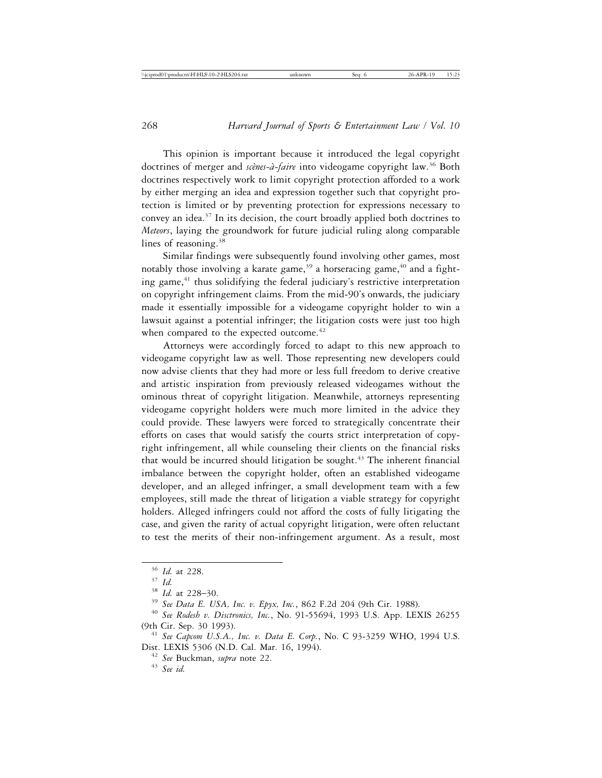This opinion is important because it introduced the legal copyright doctrines of merger and *scènes-à-faire* into videogame copyright law.<sup>36</sup> Both doctrines respectively work to limit copyright protection afforded to a work by either merging an idea and expression together such that copyright protection is limited or by preventing protection for expressions necessary to convey an idea.37 In its decision, the court broadly applied both doctrines to *Meteors*, laying the groundwork for future judicial ruling along comparable lines of reasoning.<sup>38</sup>

Similar findings were subsequently found involving other games, most notably those involving a karate game, $39$  a horseracing game, $40$  and a fighting game,<sup>41</sup> thus solidifying the federal judiciary's restrictive interpretation on copyright infringement claims. From the mid-90's onwards, the judiciary made it essentially impossible for a videogame copyright holder to win a lawsuit against a potential infringer; the litigation costs were just too high when compared to the expected outcome.<sup>42</sup>

Attorneys were accordingly forced to adapt to this new approach to videogame copyright law as well. Those representing new developers could now advise clients that they had more or less full freedom to derive creative and artistic inspiration from previously released videogames without the ominous threat of copyright litigation. Meanwhile, attorneys representing videogame copyright holders were much more limited in the advice they could provide. These lawyers were forced to strategically concentrate their efforts on cases that would satisfy the courts strict interpretation of copyright infringement, all while counseling their clients on the financial risks that would be incurred should litigation be sought.<sup> $43$ </sup> The inherent financial imbalance between the copyright holder, often an established videogame developer, and an alleged infringer, a small development team with a few employees, still made the threat of litigation a viable strategy for copyright holders. Alleged infringers could not afford the costs of fully litigating the case, and given the rarity of actual copyright litigation, were often reluctant to test the merits of their non-infringement argument. As a result, most

<sup>&</sup>lt;sup>36</sup> *Id.* at 228.<br><sup>37</sup> *Id.*<br><sup>38</sup> *Id.* at 228–30.<br><sup>39</sup> *See Data E. USA, Inc. v. Epyx, Inc.*, 862 F.2d 204 (9th Cir. 1988).<br><sup>40</sup> *See Rodesh v. Disctronics, Inc.*, No. 91-55694, 1993 U.S. App. LEXIS 26255 (9th Cir. Sep. 30 1993). <sup>41</sup> *See Capcom U.S.A., Inc. v. Data E. Corp.*, No. C 93-3259 WHO, 1994 U.S.

Dist. LEXIS 5306 (N.D. Cal. Mar. 16, 1994). <sup>42</sup> *See* Buckman, *supra* note 22.

<sup>43</sup> *See id.*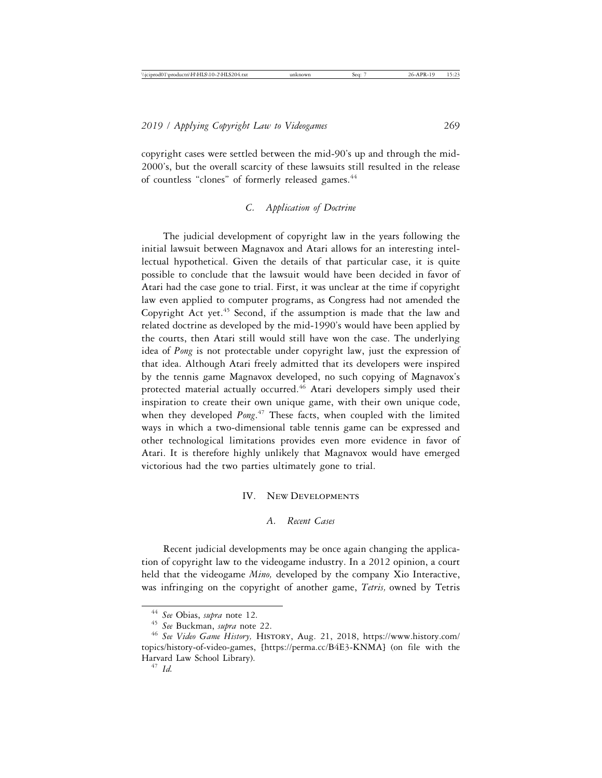copyright cases were settled between the mid-90's up and through the mid-2000's, but the overall scarcity of these lawsuits still resulted in the release of countless "clones" of formerly released games.<sup>44</sup>

### *C. Application of Doctrine*

The judicial development of copyright law in the years following the initial lawsuit between Magnavox and Atari allows for an interesting intellectual hypothetical. Given the details of that particular case, it is quite possible to conclude that the lawsuit would have been decided in favor of Atari had the case gone to trial. First, it was unclear at the time if copyright law even applied to computer programs, as Congress had not amended the Copyright Act yet.<sup>45</sup> Second, if the assumption is made that the law and related doctrine as developed by the mid-1990's would have been applied by the courts, then Atari still would still have won the case. The underlying idea of *Pong* is not protectable under copyright law, just the expression of that idea. Although Atari freely admitted that its developers were inspired by the tennis game Magnavox developed, no such copying of Magnavox's protected material actually occurred.<sup>46</sup> Atari developers simply used their inspiration to create their own unique game, with their own unique code, when they developed *Pong*. 47 These facts, when coupled with the limited ways in which a two-dimensional table tennis game can be expressed and other technological limitations provides even more evidence in favor of Atari. It is therefore highly unlikely that Magnavox would have emerged victorious had the two parties ultimately gone to trial.

### IV. New Developments

### *A. Recent Cases*

Recent judicial developments may be once again changing the application of copyright law to the videogame industry. In a 2012 opinion, a court held that the videogame *Mino,* developed by the company Xio Interactive, was infringing on the copyright of another game, *Tetris,* owned by Tetris

<sup>44</sup> *See* Obias, *supra* note 12. <sup>45</sup> *See* Buckman, *supra* note 22. <sup>46</sup> *See Video Game History,* History, Aug. 21, 2018, https://www.history.com/ topics/history-of-video-games, [https://perma.cc/B4E3-KNMA] (on file with the Harvard Law School Library). <sup>47</sup> *Id.*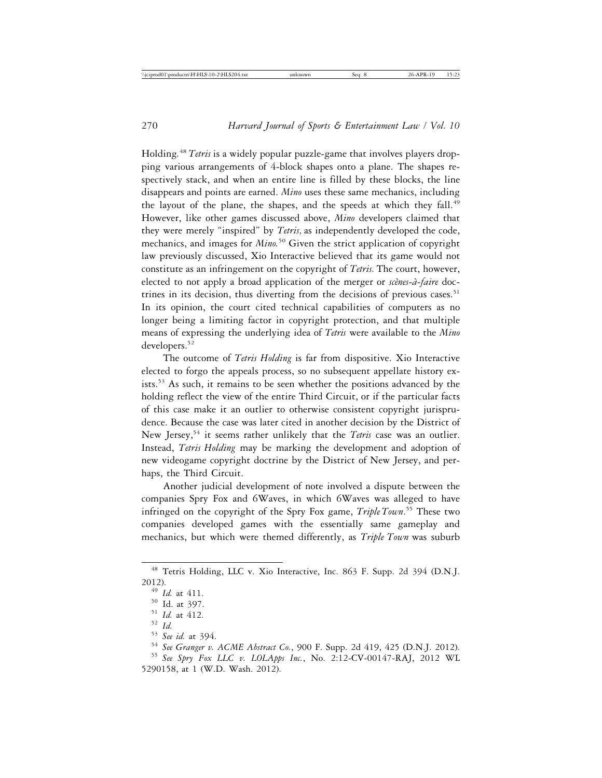Holding*.* 48 *Tetris* is a widely popular puzzle-game that involves players dropping various arrangements of 4-block shapes onto a plane. The shapes respectively stack, and when an entire line is filled by these blocks, the line disappears and points are earned. *Mino* uses these same mechanics, including the layout of the plane, the shapes, and the speeds at which they fall.<sup>49</sup> However, like other games discussed above, *Mino* developers claimed that they were merely "inspired" by *Tetris,* as independently developed the code, mechanics, and images for *Mino.*<sup>50</sup> Given the strict application of copyright law previously discussed, Xio Interactive believed that its game would not constitute as an infringement on the copyright of *Tetris.* The court, however, elected to not apply a broad application of the merger or *scènes-à-faire* doctrines in its decision, thus diverting from the decisions of previous cases.<sup>51</sup> In its opinion, the court cited technical capabilities of computers as no longer being a limiting factor in copyright protection, and that multiple means of expressing the underlying idea of *Tetris* were available to the *Mino* developers.<sup>52</sup>

The outcome of *Tetris Holding* is far from dispositive. Xio Interactive elected to forgo the appeals process, so no subsequent appellate history exists.53 As such, it remains to be seen whether the positions advanced by the holding reflect the view of the entire Third Circuit, or if the particular facts of this case make it an outlier to otherwise consistent copyright jurisprudence. Because the case was later cited in another decision by the District of New Jersey,<sup>54</sup> it seems rather unlikely that the *Tetris* case was an outlier. Instead, *Tetris Holding* may be marking the development and adoption of new videogame copyright doctrine by the District of New Jersey, and perhaps, the Third Circuit.

Another judicial development of note involved a dispute between the companies Spry Fox and 6Waves, in which 6Waves was alleged to have infringed on the copyright of the Spry Fox game, *Triple Town*. 55 These two companies developed games with the essentially same gameplay and mechanics, but which were themed differently, as *Triple Town* was suburb

<sup>48</sup> Tetris Holding, LLC v. Xio Interactive, Inc. 863 F. Supp. 2d 394 (D.N.J. 2012).<br> $^{49}$  *Id.* at 411.

<sup>&</sup>lt;sup>50</sup> Id. at 397.<br><sup>51</sup> Id. at 412.<br><sup>52</sup> Id.<br><sup>53</sup> See id. at 394.<br><sup>54</sup> See Granger v. ACME Abstract Co., 900 F. Supp. 2d 419, 425 (D.N.J. 2012).<br><sup>55</sup> See Spry Fox LLC v. LOLApps Inc., No. 2:12-CV-00147-RAJ, 2012 WL

<sup>5290158,</sup> at 1 (W.D. Wash. 2012).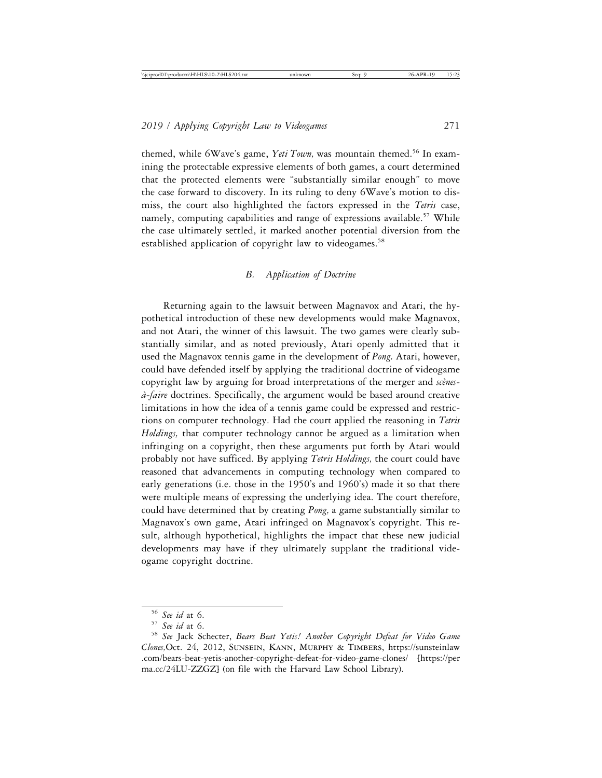themed, while 6Wave's game, *Yeti Town*, was mountain themed.<sup>56</sup> In examining the protectable expressive elements of both games, a court determined that the protected elements were "substantially similar enough" to move the case forward to discovery. In its ruling to deny 6Wave's motion to dismiss, the court also highlighted the factors expressed in the *Tetris* case, namely, computing capabilities and range of expressions available.<sup>57</sup> While the case ultimately settled, it marked another potential diversion from the established application of copyright law to videogames.<sup>58</sup>

## *B. Application of Doctrine*

Returning again to the lawsuit between Magnavox and Atari, the hypothetical introduction of these new developments would make Magnavox, and not Atari, the winner of this lawsuit. The two games were clearly substantially similar, and as noted previously, Atari openly admitted that it used the Magnavox tennis game in the development of *Pong.* Atari, however, could have defended itself by applying the traditional doctrine of videogame copyright law by arguing for broad interpretations of the merger and *scènes-* $\hat{a}$ -faire doctrines. Specifically, the argument would be based around creative limitations in how the idea of a tennis game could be expressed and restrictions on computer technology. Had the court applied the reasoning in *Tetris Holdings,* that computer technology cannot be argued as a limitation when infringing on a copyright, then these arguments put forth by Atari would probably not have sufficed. By applying *Tetris Holdings,* the court could have reasoned that advancements in computing technology when compared to early generations (i.e. those in the 1950's and 1960's) made it so that there were multiple means of expressing the underlying idea. The court therefore, could have determined that by creating *Pong,* a game substantially similar to Magnavox's own game, Atari infringed on Magnavox's copyright. This result, although hypothetical, highlights the impact that these new judicial developments may have if they ultimately supplant the traditional videogame copyright doctrine.

<sup>&</sup>lt;sup>56</sup> See id at 6.<br><sup>57</sup> See id at 6.<br><sup>58</sup> See Jack Schecter, *Bears Beat Yetis! Another Copyright Defeat for Video Game Clones,*Oct. 24, 2012, Sunsein, Kann, Murphy & Timbers, https://sunsteinlaw .com/bears-beat-yetis-another-copyright-defeat-for-video-game-clones/ [https://per ma.cc/24LU-ZZGZ] (on file with the Harvard Law School Library).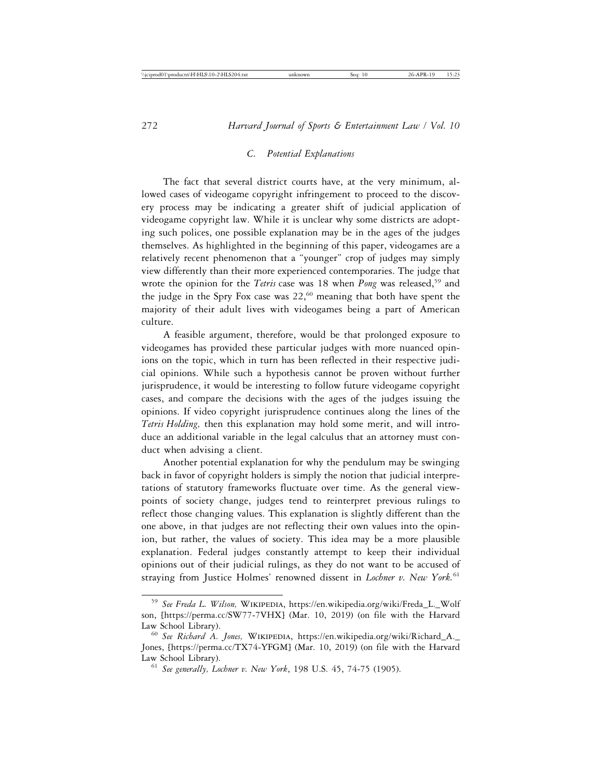### *C. Potential Explanations*

The fact that several district courts have, at the very minimum, allowed cases of videogame copyright infringement to proceed to the discovery process may be indicating a greater shift of judicial application of videogame copyright law. While it is unclear why some districts are adopting such polices, one possible explanation may be in the ages of the judges themselves. As highlighted in the beginning of this paper, videogames are a relatively recent phenomenon that a "younger" crop of judges may simply view differently than their more experienced contemporaries. The judge that wrote the opinion for the *Tetris* case was 18 when *Pong* was released,<sup>59</sup> and the judge in the Spry Fox case was  $22,60$  meaning that both have spent the majority of their adult lives with videogames being a part of American culture.

A feasible argument, therefore, would be that prolonged exposure to videogames has provided these particular judges with more nuanced opinions on the topic, which in turn has been reflected in their respective judicial opinions. While such a hypothesis cannot be proven without further jurisprudence, it would be interesting to follow future videogame copyright cases, and compare the decisions with the ages of the judges issuing the opinions. If video copyright jurisprudence continues along the lines of the *Tetris Holding,* then this explanation may hold some merit, and will introduce an additional variable in the legal calculus that an attorney must conduct when advising a client.

Another potential explanation for why the pendulum may be swinging back in favor of copyright holders is simply the notion that judicial interpretations of statutory frameworks fluctuate over time. As the general viewpoints of society change, judges tend to reinterpret previous rulings to reflect those changing values. This explanation is slightly different than the one above, in that judges are not reflecting their own values into the opinion, but rather, the values of society. This idea may be a more plausible explanation. Federal judges constantly attempt to keep their individual opinions out of their judicial rulings, as they do not want to be accused of straying from Justice Holmes' renowned dissent in *Lochner v. New York.*<sup>61</sup>

<sup>59</sup> *See Freda L. Wilson,* Wikipedia, https://en.wikipedia.org/wiki/Freda\_L.\_Wolf son, [https://perma.cc/SW77-7VHX] (Mar. 10, 2019) (on file with the Harvard Law School Library). <sup>60</sup> *See Richard A. Jones,* Wikipedia, https://en.wikipedia.org/wiki/Richard\_A.\_

Jones, [https://perma.cc/TX74-YFGM] (Mar. 10, 2019) (on file with the Harvard Law School Library). <sup>61</sup> *See generally, Lochner v. New York*, 198 U.S. 45, 74-75 (1905).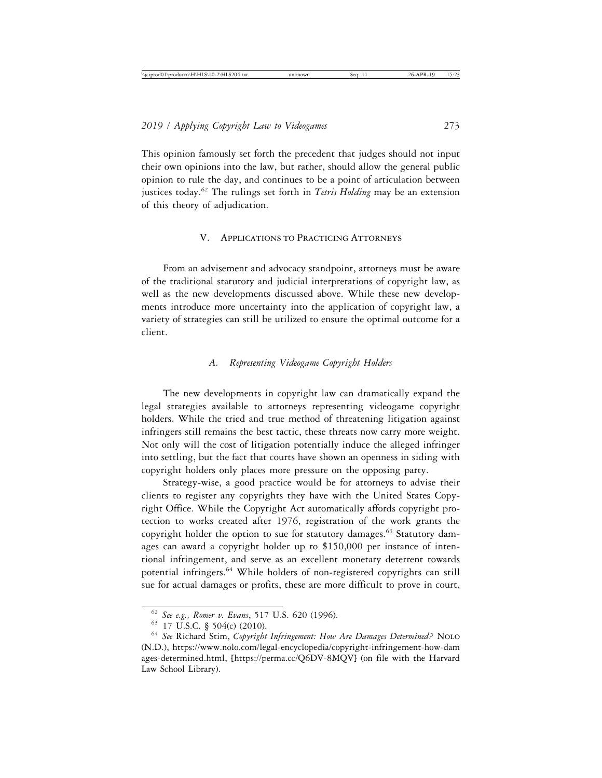This opinion famously set forth the precedent that judges should not input their own opinions into the law, but rather, should allow the general public opinion to rule the day, and continues to be a point of articulation between justices today.62 The rulings set forth in *Tetris Holding* may be an extension of this theory of adjudication.

### V. Applications to Practicing Attorneys

From an advisement and advocacy standpoint, attorneys must be aware of the traditional statutory and judicial interpretations of copyright law, as well as the new developments discussed above. While these new developments introduce more uncertainty into the application of copyright law, a variety of strategies can still be utilized to ensure the optimal outcome for a client.

## *A. Representing Videogame Copyright Holders*

The new developments in copyright law can dramatically expand the legal strategies available to attorneys representing videogame copyright holders. While the tried and true method of threatening litigation against infringers still remains the best tactic, these threats now carry more weight. Not only will the cost of litigation potentially induce the alleged infringer into settling, but the fact that courts have shown an openness in siding with copyright holders only places more pressure on the opposing party.

Strategy-wise, a good practice would be for attorneys to advise their clients to register any copyrights they have with the United States Copyright Office. While the Copyright Act automatically affords copyright protection to works created after 1976, registration of the work grants the copyright holder the option to sue for statutory damages.<sup>63</sup> Statutory damages can award a copyright holder up to \$150,000 per instance of intentional infringement, and serve as an excellent monetary deterrent towards potential infringers.<sup>64</sup> While holders of non-registered copyrights can still sue for actual damages or profits, these are more difficult to prove in court,

<sup>62</sup> *See e.g., Romer v. Evans*, 517 U.S. 620 (1996).

<sup>&</sup>lt;sup>64</sup> See Richard Stim, *Copyright Infringement: How Are Damages Determined?* NOLO (N.D.), https://www.nolo.com/legal-encyclopedia/copyright-infringement-how-dam ages-determined.html, [https://perma.cc/Q6DV-8MQV] (on file with the Harvard Law School Library).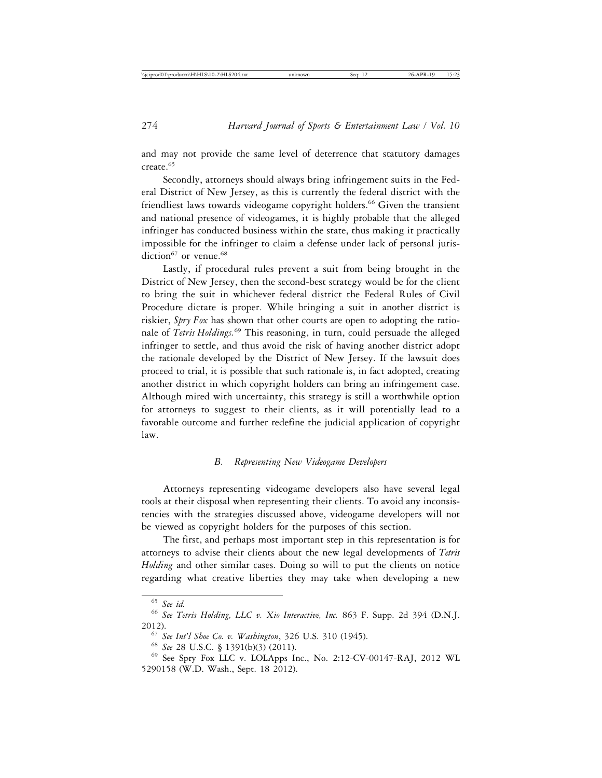and may not provide the same level of deterrence that statutory damages create.<sup>65</sup>

Secondly, attorneys should always bring infringement suits in the Federal District of New Jersey, as this is currently the federal district with the friendliest laws towards videogame copyright holders.<sup>66</sup> Given the transient and national presence of videogames, it is highly probable that the alleged infringer has conducted business within the state, thus making it practically impossible for the infringer to claim a defense under lack of personal jurisdiction $67$  or venue.<sup>68</sup>

Lastly, if procedural rules prevent a suit from being brought in the District of New Jersey, then the second-best strategy would be for the client to bring the suit in whichever federal district the Federal Rules of Civil Procedure dictate is proper. While bringing a suit in another district is riskier, *Spry Fox* has shown that other courts are open to adopting the rationale of *Tetris Holdings.*69 This reasoning, in turn, could persuade the alleged infringer to settle, and thus avoid the risk of having another district adopt the rationale developed by the District of New Jersey. If the lawsuit does proceed to trial, it is possible that such rationale is, in fact adopted, creating another district in which copyright holders can bring an infringement case. Although mired with uncertainty, this strategy is still a worthwhile option for attorneys to suggest to their clients, as it will potentially lead to a favorable outcome and further redefine the judicial application of copyright law.

## *B. Representing New Videogame Developers*

Attorneys representing videogame developers also have several legal tools at their disposal when representing their clients. To avoid any inconsistencies with the strategies discussed above, videogame developers will not be viewed as copyright holders for the purposes of this section.

The first, and perhaps most important step in this representation is for attorneys to advise their clients about the new legal developments of *Tetris Holding* and other similar cases. Doing so will to put the clients on notice regarding what creative liberties they may take when developing a new

<sup>65</sup> *See id.* <sup>66</sup> *See Tetris Holding, LLC v. Xio Interactive, Inc.* 863 F. Supp. 2d 394 (D.N.J. 2012). <sup>67</sup> *See Int'l Shoe Co. v. Washington*, 326 U.S. 310 (1945). <sup>68</sup> *See* 28 U.S.C. § 1391(b)(3) (2011).

 $69$  See Spry Fox LLC v. LOLApps Inc., No. 2:12-CV-00147-RAJ, 2012 WL 5290158 (W.D. Wash., Sept. 18 2012).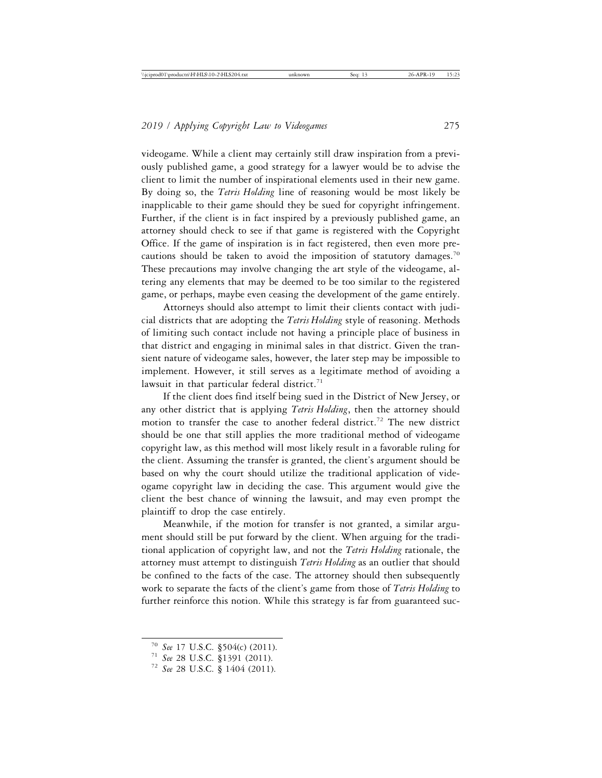videogame. While a client may certainly still draw inspiration from a previously published game, a good strategy for a lawyer would be to advise the client to limit the number of inspirational elements used in their new game. By doing so, the *Tetris Holding* line of reasoning would be most likely be inapplicable to their game should they be sued for copyright infringement. Further, if the client is in fact inspired by a previously published game, an attorney should check to see if that game is registered with the Copyright Office. If the game of inspiration is in fact registered, then even more precautions should be taken to avoid the imposition of statutory damages.<sup>70</sup> These precautions may involve changing the art style of the videogame, altering any elements that may be deemed to be too similar to the registered game, or perhaps, maybe even ceasing the development of the game entirely.

Attorneys should also attempt to limit their clients contact with judicial districts that are adopting the *Tetris Holding* style of reasoning. Methods of limiting such contact include not having a principle place of business in that district and engaging in minimal sales in that district. Given the transient nature of videogame sales, however, the later step may be impossible to implement. However, it still serves as a legitimate method of avoiding a lawsuit in that particular federal district.<sup>71</sup>

If the client does find itself being sued in the District of New Jersey, or any other district that is applying *Tetris Holding*, then the attorney should motion to transfer the case to another federal district.<sup>72</sup> The new district should be one that still applies the more traditional method of videogame copyright law, as this method will most likely result in a favorable ruling for the client. Assuming the transfer is granted, the client's argument should be based on why the court should utilize the traditional application of videogame copyright law in deciding the case. This argument would give the client the best chance of winning the lawsuit, and may even prompt the plaintiff to drop the case entirely.

Meanwhile, if the motion for transfer is not granted, a similar argument should still be put forward by the client. When arguing for the traditional application of copyright law, and not the *Tetris Holding* rationale, the attorney must attempt to distinguish *Tetris Holding* as an outlier that should be confined to the facts of the case. The attorney should then subsequently work to separate the facts of the client's game from those of *Tetris Holding* to further reinforce this notion. While this strategy is far from guaranteed suc-

<sup>70</sup> *See* 17 U.S.C. §504(c) (2011). <sup>71</sup> *See* 28 U.S.C. §1391 (2011). <sup>72</sup> *See* 28 U.S.C. § 1404 (2011).